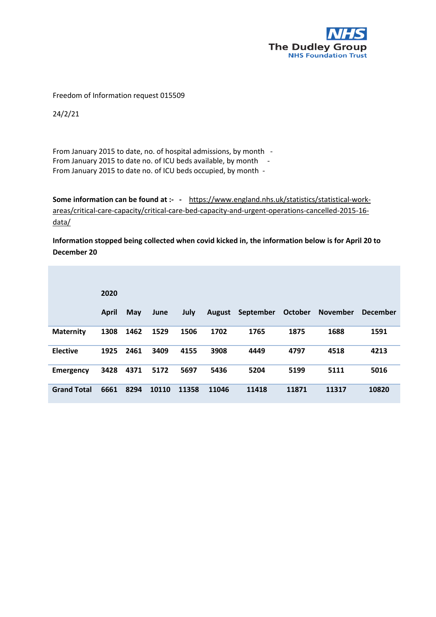

Freedom of Information request 015509

24/2/21

From January 2015 to date, no. of hospital admissions, by month - From January 2015 to date no. of ICU beds available, by month - From January 2015 to date no. of ICU beds occupied, by month -

**Some information can be found at :- -** [https://www.england.nhs.uk/statistics/statistical-work](https://www.england.nhs.uk/statistics/statistical-work-areas/critical-care-capacity/critical-care-bed-capacity-and-urgent-operations-cancelled-2015-16-data/)[areas/critical-care-capacity/critical-care-bed-capacity-and-urgent-operations-cancelled-2015-16](https://www.england.nhs.uk/statistics/statistical-work-areas/critical-care-capacity/critical-care-bed-capacity-and-urgent-operations-cancelled-2015-16-data/) [data/](https://www.england.nhs.uk/statistics/statistical-work-areas/critical-care-capacity/critical-care-bed-capacity-and-urgent-operations-cancelled-2015-16-data/) 

**Information stopped being collected when covid kicked in, the information below is for April 20 to December 20**

|                    | 2020  |            |       |             |               |           |         |                 |                 |
|--------------------|-------|------------|-------|-------------|---------------|-----------|---------|-----------------|-----------------|
|                    | April | <b>May</b> | June  | <b>July</b> | <b>August</b> | September | October | <b>November</b> | <b>December</b> |
| <b>Maternity</b>   | 1308  | 1462       | 1529  | 1506        | 1702          | 1765      | 1875    | 1688            | 1591            |
| <b>Elective</b>    | 1925  | 2461       | 3409  | 4155        | 3908          | 4449      | 4797    | 4518            | 4213            |
| Emergency          | 3428  | 4371       | 5172  | 5697        | 5436          | 5204      | 5199    | 5111            | 5016            |
| <b>Grand Total</b> | 6661  | 8294       | 10110 | 11358       | 11046         | 11418     | 11871   | 11317           | 10820           |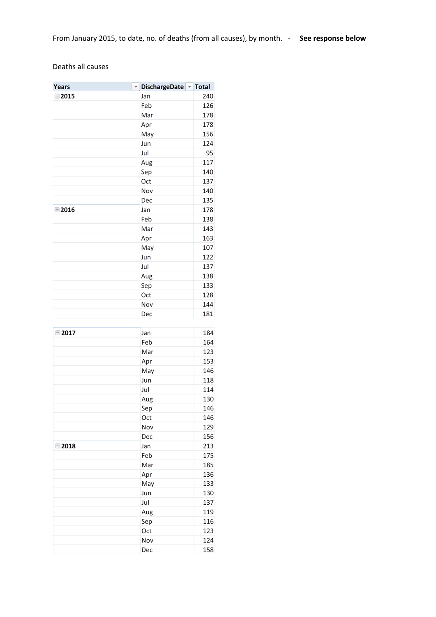## Deaths all causes

| <b>Years</b>  |     | DischargeDate Total |     |     |
|---------------|-----|---------------------|-----|-----|
| $-2015$       |     | Jan                 |     | 240 |
|               |     | Feb                 |     | 126 |
|               |     | Mar                 |     | 178 |
|               |     | Apr                 |     | 178 |
|               |     | May                 |     | 156 |
|               |     | Jun                 |     | 124 |
|               |     | Jul                 |     | 95  |
|               |     | Aug                 |     | 117 |
|               |     | Sep                 |     | 140 |
|               |     | Oct                 |     | 137 |
|               |     | Nov                 |     | 140 |
|               |     | Dec                 |     | 135 |
| $-2016$       |     | Jan                 |     | 178 |
|               |     | Feb                 |     | 138 |
|               |     | Mar                 |     | 143 |
|               | Apr |                     | 163 |     |
|               |     | May                 |     | 107 |
|               |     | Jun                 |     | 122 |
|               |     | Jul                 |     | 137 |
|               |     | Aug                 |     | 138 |
|               |     | Sep                 |     | 133 |
|               | Oct |                     | 128 |     |
|               |     | Nov                 |     | 144 |
|               |     | Dec                 |     | 181 |
| $\equiv$ 2017 |     | Jan                 |     | 184 |
|               |     | Feb                 |     | 164 |
|               |     | Mar                 |     | 123 |
|               | Apr |                     | 153 |     |
|               | May |                     | 146 |     |
|               | Jun |                     | 118 |     |
|               | Jul |                     | 114 |     |
|               | Aug |                     | 130 |     |
|               | Sep |                     |     | 146 |
|               |     | Oct                 |     | 146 |
|               |     | Nov                 |     | 129 |
|               |     | Dec                 |     | 156 |
| $=2018$       |     | Jan                 |     | 213 |
|               |     | Feb                 |     | 175 |
|               |     | Mar                 |     | 185 |
|               |     | Apr                 |     | 136 |
|               |     | May                 |     | 133 |
|               |     | Jun                 |     | 130 |
|               |     | Jul                 |     | 137 |
|               |     | Aug                 |     | 119 |
|               |     | Sep                 |     | 116 |
|               |     | Oct                 |     | 123 |
|               |     | Nov                 |     | 124 |
|               |     | Dec                 |     | 158 |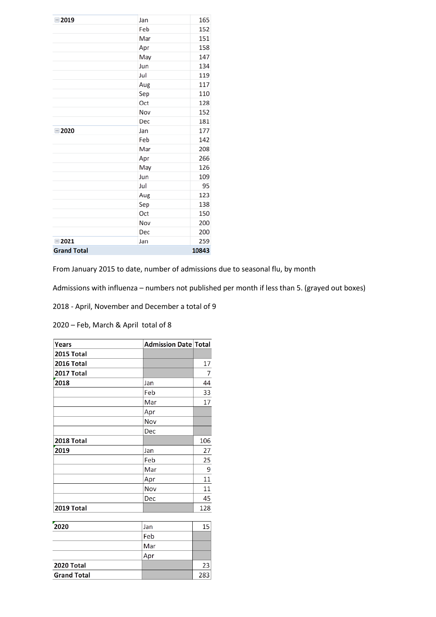| $= 2019$            | Jan | 165   |
|---------------------|-----|-------|
|                     | Feb | 152   |
|                     | Mar | 151   |
|                     | Apr | 158   |
|                     | May | 147   |
|                     | Jun | 134   |
|                     | Jul | 119   |
|                     | Aug | 117   |
|                     | Sep | 110   |
|                     | Oct | 128   |
|                     | Nov | 152   |
|                     | Dec | 181   |
| $= 2020$            | Jan | 177   |
|                     | Feb | 142   |
|                     | Mar | 208   |
|                     | Apr | 266   |
|                     | May | 126   |
|                     | Jun | 109   |
|                     | Jul | 95    |
|                     | Aug | 123   |
|                     | Sep | 138   |
|                     | Oct | 150   |
|                     | Nov | 200   |
|                     | Dec | 200   |
| $\blacksquare$ 2021 | Jan | 259   |
| <b>Grand Total</b>  |     | 10843 |

From January 2015 to date, number of admissions due to seasonal flu, by month

Admissions with influenza – numbers not published per month if less than 5. (grayed out boxes)

2018 - April, November and December a total of 9

2020 – Feb, March & April total of 8

| Years      | <b>Admission Date Total</b> |     |
|------------|-----------------------------|-----|
| 2015 Total |                             |     |
| 2016 Total |                             | 17  |
| 2017 Total |                             | 7   |
| 2018       | Jan                         | 44  |
|            | Feb                         | 33  |
|            | Mar                         | 17  |
|            | Apr                         |     |
|            | Nov                         |     |
|            | Dec                         |     |
| 2018 Total |                             | 106 |
| 2019       | Jan                         | 27  |
|            | Feb                         | 25  |
|            | Mar                         | 9   |
|            | Apr                         | 11  |
|            | Nov                         | 11  |
|            | Dec                         | 45  |
| 2019 Total |                             | 128 |
|            |                             |     |
| 2020       | Jan                         | 15  |
|            |                             |     |

| 2020               | Jan |     |
|--------------------|-----|-----|
|                    | Feb |     |
|                    | Mar |     |
|                    | Apr |     |
| 2020 Total         |     | 23  |
| <b>Grand Total</b> |     | 283 |
|                    |     |     |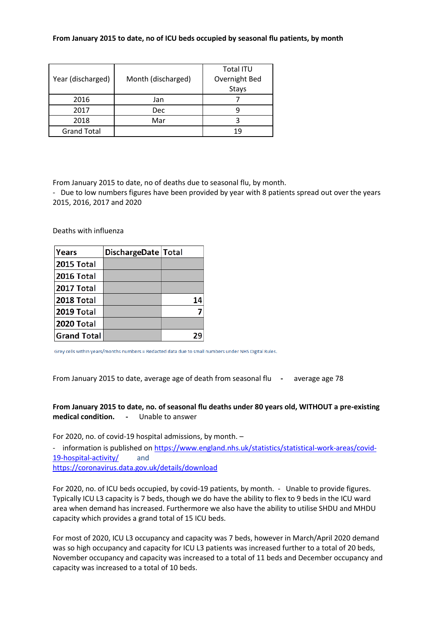## **From January 2015 to date, no of ICU beds occupied by seasonal flu patients, by month**

|                    |                    | Total ITU     |  |  |
|--------------------|--------------------|---------------|--|--|
| Year (discharged)  | Month (discharged) | Overnight Bed |  |  |
|                    |                    | <b>Stays</b>  |  |  |
| 2016               | Jan                |               |  |  |
| 2017               | Dec                |               |  |  |
| 2018               | Mar                |               |  |  |
| <b>Grand Total</b> |                    |               |  |  |

From January 2015 to date, no of deaths due to seasonal flu, by month.

- Due to low numbers figures have been provided by year with 8 patients spread out over the years 2015, 2016, 2017 and 2020

Deaths with influenza

| Years              | DischargeDate   Total |  |
|--------------------|-----------------------|--|
| <b>2015 Total</b>  |                       |  |
| <b>2016 Total</b>  |                       |  |
| <b>2017 Total</b>  |                       |  |
| <b>2018 Total</b>  |                       |  |
| <b>2019 Total</b>  |                       |  |
| <b>2020 Total</b>  |                       |  |
| <b>Grand Total</b> |                       |  |

Grey cells within years/months numbers = Redacted data due to small numbers under NHS Digital Rules.

From January 2015 to date, average age of death from seasonal flu **-** average age 78

**From January 2015 to date, no. of seasonal flu deaths under 80 years old, WITHOUT a pre-existing medical condition. -** Unable to answer

For 2020, no. of covid-19 hospital admissions, by month. –

- information is published o[n https://www.england.nhs.uk/statistics/statistical-work-areas/covid-](https://www.england.nhs.uk/statistics/statistical-work-areas/covid-19-hospital-activity/)[19-hospital-activity/](https://www.england.nhs.uk/statistics/statistical-work-areas/covid-19-hospital-activity/) and <https://coronavirus.data.gov.uk/details/download>

For 2020, no. of ICU beds occupied, by covid-19 patients, by month. - Unable to provide figures. Typically ICU L3 capacity is 7 beds, though we do have the ability to flex to 9 beds in the ICU ward area when demand has increased. Furthermore we also have the ability to utilise SHDU and MHDU capacity which provides a grand total of 15 ICU beds.

For most of 2020, ICU L3 occupancy and capacity was 7 beds, however in March/April 2020 demand was so high occupancy and capacity for ICU L3 patients was increased further to a total of 20 beds, November occupancy and capacity was increased to a total of 11 beds and December occupancy and capacity was increased to a total of 10 beds.